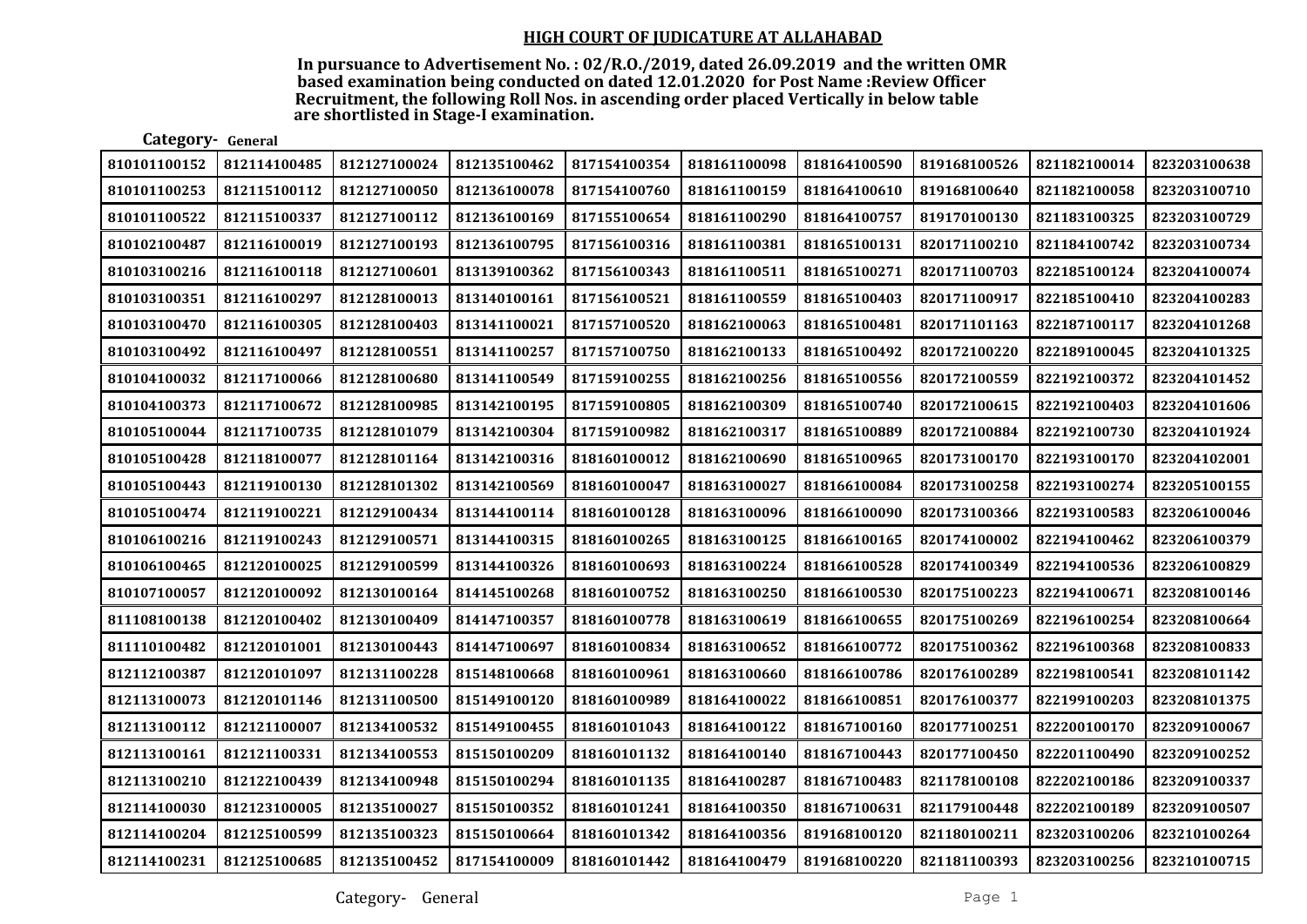In pursuance to Advertisement No. : 02/R.O./2019, dated 26.09.2019 and the written OMR based examination being conducted on dated 12.01.2020 for Post Name :Review Officer Recruitment, the following Roll Nos. in ascending order placed Vertically in below table are shortlisted in Stage-I examination.

| Category- General |              |              |              |              |              |              |              |              |              |
|-------------------|--------------|--------------|--------------|--------------|--------------|--------------|--------------|--------------|--------------|
| 810101100152      | 812114100485 | 812127100024 | 812135100462 | 817154100354 | 818161100098 | 818164100590 | 819168100526 | 821182100014 | 823203100638 |
| 810101100253      | 812115100112 | 812127100050 | 812136100078 | 817154100760 | 818161100159 | 818164100610 | 819168100640 | 821182100058 | 823203100710 |
| 810101100522      | 812115100337 | 812127100112 | 812136100169 | 817155100654 | 818161100290 | 818164100757 | 819170100130 | 821183100325 | 823203100729 |
| 810102100487      | 812116100019 | 812127100193 | 812136100795 | 817156100316 | 818161100381 | 818165100131 | 820171100210 | 821184100742 | 823203100734 |
| 810103100216      | 812116100118 | 812127100601 | 813139100362 | 817156100343 | 818161100511 | 818165100271 | 820171100703 | 822185100124 | 823204100074 |
| 810103100351      | 812116100297 | 812128100013 | 813140100161 | 817156100521 | 818161100559 | 818165100403 | 820171100917 | 822185100410 | 823204100283 |
| 810103100470      | 812116100305 | 812128100403 | 813141100021 | 817157100520 | 818162100063 | 818165100481 | 820171101163 | 822187100117 | 823204101268 |
| 810103100492      | 812116100497 | 812128100551 | 813141100257 | 817157100750 | 818162100133 | 818165100492 | 820172100220 | 822189100045 | 823204101325 |
| 810104100032      | 812117100066 | 812128100680 | 813141100549 | 817159100255 | 818162100256 | 818165100556 | 820172100559 | 822192100372 | 823204101452 |
| 810104100373      | 812117100672 | 812128100985 | 813142100195 | 817159100805 | 818162100309 | 818165100740 | 820172100615 | 822192100403 | 823204101606 |
| 810105100044      | 812117100735 | 812128101079 | 813142100304 | 817159100982 | 818162100317 | 818165100889 | 820172100884 | 822192100730 | 823204101924 |
| 810105100428      | 812118100077 | 812128101164 | 813142100316 | 818160100012 | 818162100690 | 818165100965 | 820173100170 | 822193100170 | 823204102001 |
| 810105100443      | 812119100130 | 812128101302 | 813142100569 | 818160100047 | 818163100027 | 818166100084 | 820173100258 | 822193100274 | 823205100155 |
| 810105100474      | 812119100221 | 812129100434 | 813144100114 | 818160100128 | 818163100096 | 818166100090 | 820173100366 | 822193100583 | 823206100046 |
| 810106100216      | 812119100243 | 812129100571 | 813144100315 | 818160100265 | 818163100125 | 818166100165 | 820174100002 | 822194100462 | 823206100379 |
| 810106100465      | 812120100025 | 812129100599 | 813144100326 | 818160100693 | 818163100224 | 818166100528 | 820174100349 | 822194100536 | 823206100829 |
| 810107100057      | 812120100092 | 812130100164 | 814145100268 | 818160100752 | 818163100250 | 818166100530 | 820175100223 | 822194100671 | 823208100146 |
| 811108100138      | 812120100402 | 812130100409 | 814147100357 | 818160100778 | 818163100619 | 818166100655 | 820175100269 | 822196100254 | 823208100664 |
| 811110100482      | 812120101001 | 812130100443 | 814147100697 | 818160100834 | 818163100652 | 818166100772 | 820175100362 | 822196100368 | 823208100833 |
| 812112100387      | 812120101097 | 812131100228 | 815148100668 | 818160100961 | 818163100660 | 818166100786 | 820176100289 | 822198100541 | 823208101142 |
| 812113100073      | 812120101146 | 812131100500 | 815149100120 | 818160100989 | 818164100022 | 818166100851 | 820176100377 | 822199100203 | 823208101375 |
| 812113100112      | 812121100007 | 812134100532 | 815149100455 | 818160101043 | 818164100122 | 818167100160 | 820177100251 | 822200100170 | 823209100067 |
| 812113100161      | 812121100331 | 812134100553 | 815150100209 | 818160101132 | 818164100140 | 818167100443 | 820177100450 | 822201100490 | 823209100252 |
| 812113100210      | 812122100439 | 812134100948 | 815150100294 | 818160101135 | 818164100287 | 818167100483 | 821178100108 | 822202100186 | 823209100337 |
| 812114100030      | 812123100005 | 812135100027 | 815150100352 | 818160101241 | 818164100350 | 818167100631 | 821179100448 | 822202100189 | 823209100507 |
| 812114100204      | 812125100599 | 812135100323 | 815150100664 | 818160101342 | 818164100356 | 819168100120 | 821180100211 | 823203100206 | 823210100264 |
| 812114100231      | 812125100685 | 812135100452 | 817154100009 | 818160101442 | 818164100479 | 819168100220 | 821181100393 | 823203100256 | 823210100715 |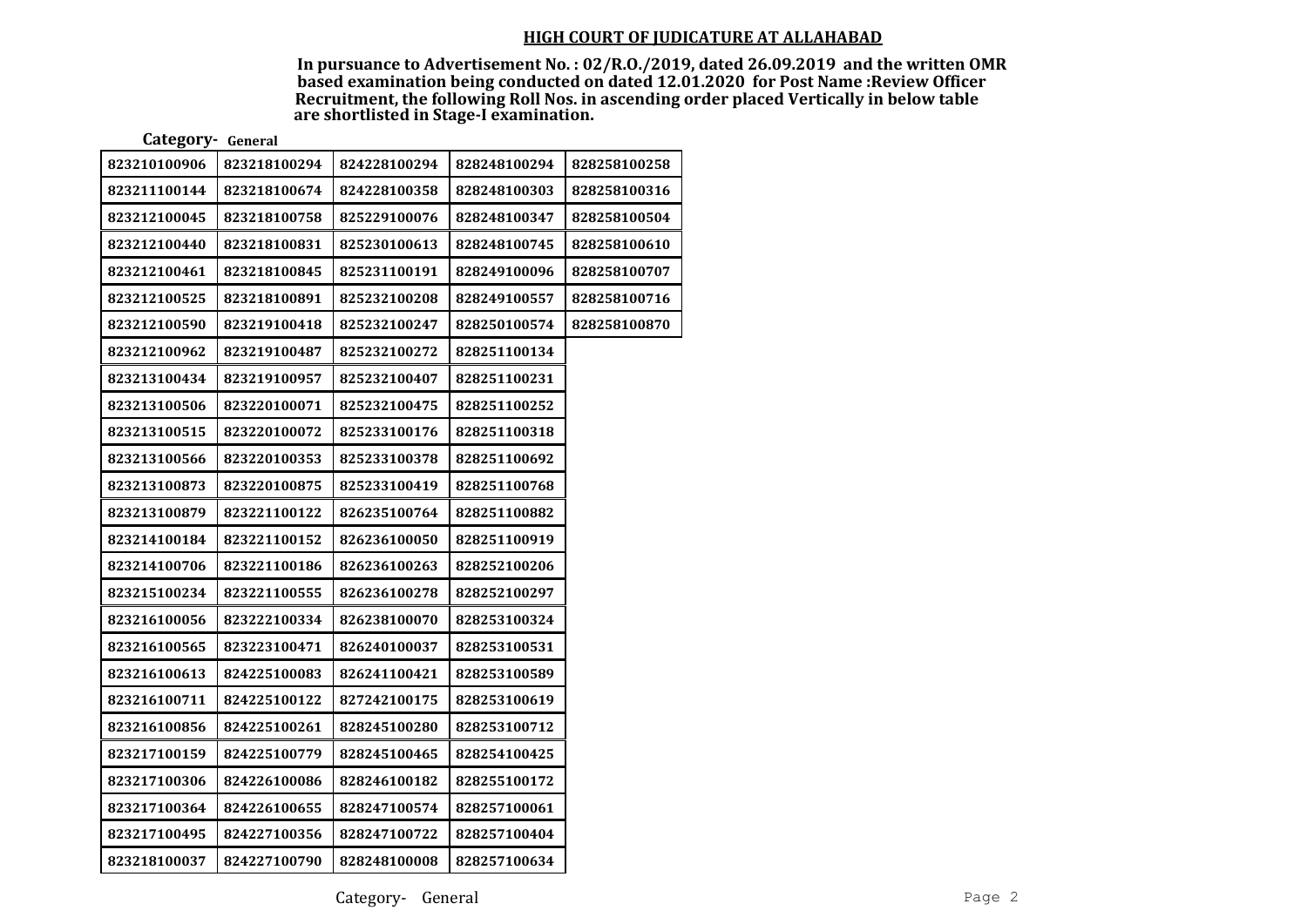In pursuance to Advertisement No. : 02/R.O./2019, dated 26.09.2019 and the written OMR based examination being conducted on dated 12.01.2020 for Post Name :Review Officer Recruitment, the following Roll Nos. in ascending order placed Vertically in below table are shortlisted in Stage-I examination.

Category- General

| 823210100906 | 823218100294 | 824228100294 | 828248100294 | 828258100258 |
|--------------|--------------|--------------|--------------|--------------|
| 823211100144 | 823218100674 | 824228100358 | 828248100303 | 828258100316 |
| 823212100045 | 823218100758 | 825229100076 | 828248100347 | 828258100504 |
| 823212100440 | 823218100831 | 825230100613 | 828248100745 | 828258100610 |
| 823212100461 | 823218100845 | 825231100191 | 828249100096 | 828258100707 |
| 823212100525 | 823218100891 | 825232100208 | 828249100557 | 828258100716 |
| 823212100590 | 823219100418 | 825232100247 | 828250100574 | 828258100870 |
| 823212100962 | 823219100487 | 825232100272 | 828251100134 |              |
| 823213100434 | 823219100957 | 825232100407 | 828251100231 |              |
| 823213100506 | 823220100071 | 825232100475 | 828251100252 |              |
| 823213100515 | 823220100072 | 825233100176 | 828251100318 |              |
| 823213100566 | 823220100353 | 825233100378 | 828251100692 |              |
| 823213100873 | 823220100875 | 825233100419 | 828251100768 |              |
| 823213100879 | 823221100122 | 826235100764 | 828251100882 |              |
| 823214100184 | 823221100152 | 826236100050 | 828251100919 |              |
| 823214100706 | 823221100186 | 826236100263 | 828252100206 |              |
| 823215100234 | 823221100555 | 826236100278 | 828252100297 |              |
| 823216100056 | 823222100334 | 826238100070 | 828253100324 |              |
| 823216100565 | 823223100471 | 826240100037 | 828253100531 |              |
| 823216100613 | 824225100083 | 826241100421 | 828253100589 |              |
| 823216100711 | 824225100122 | 827242100175 | 828253100619 |              |
| 823216100856 | 824225100261 | 828245100280 | 828253100712 |              |
| 823217100159 | 824225100779 | 828245100465 | 828254100425 |              |
| 823217100306 | 824226100086 | 828246100182 | 828255100172 |              |
| 823217100364 | 824226100655 | 828247100574 | 828257100061 |              |
| 823217100495 | 824227100356 | 828247100722 | 828257100404 |              |
| 823218100037 | 824227100790 | 828248100008 | 828257100634 |              |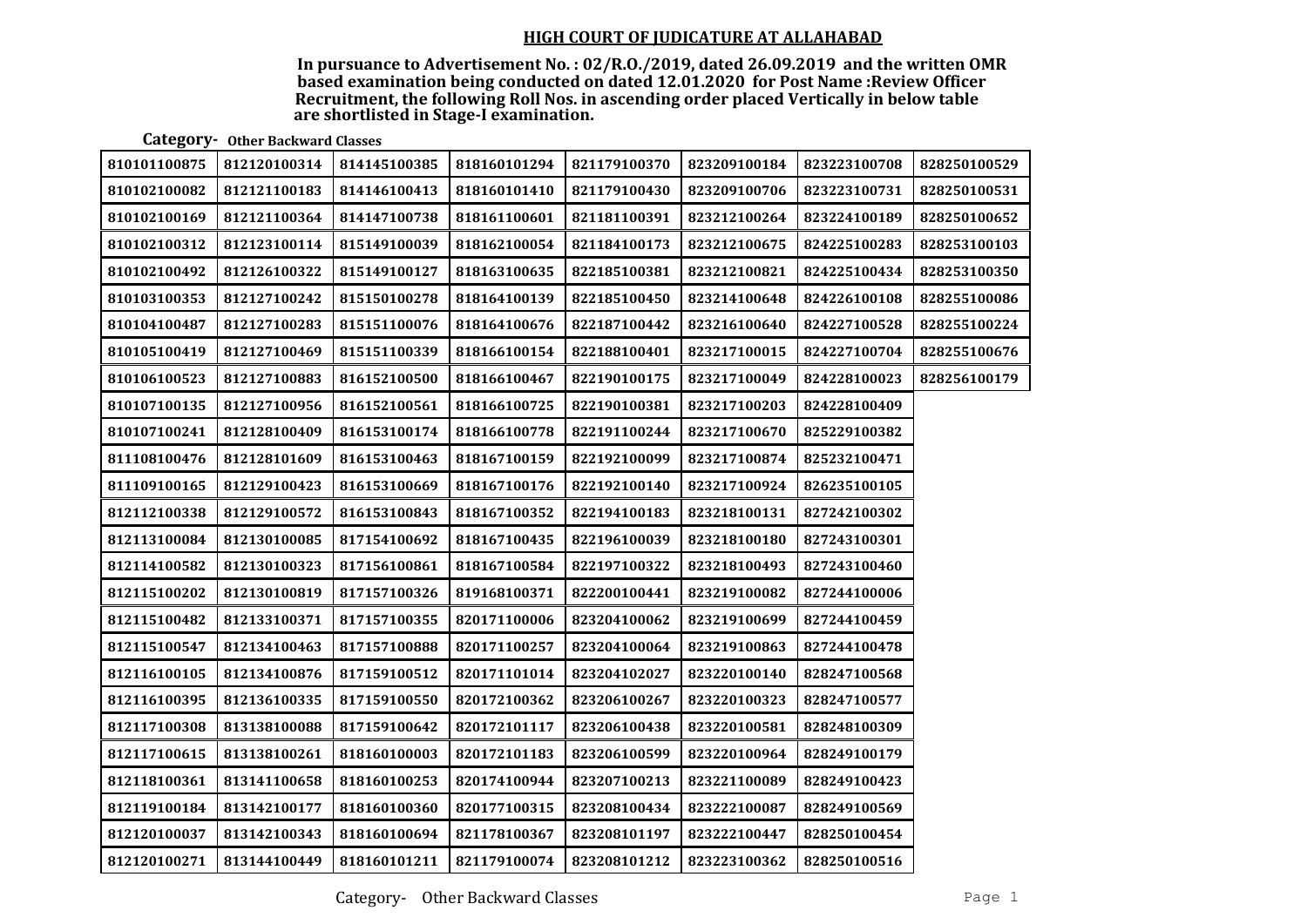In pursuance to Advertisement No. : 02/R.O./2019, dated 26.09.2019 and the written OMR based examination being conducted on dated 12.01.2020 for Post Name :Review Officer Recruitment, the following Roll Nos. in ascending order placed Vertically in below table are shortlisted in Stage-I examination.

Category- Other Backward Classes

| 810101100875 | 812120100314 | 814145100385 | 818160101294 | 821179100370 | 823209100184 | 823223100708 | 828250100529 |
|--------------|--------------|--------------|--------------|--------------|--------------|--------------|--------------|
| 810102100082 | 812121100183 | 814146100413 | 818160101410 | 821179100430 | 823209100706 | 823223100731 | 828250100531 |
| 810102100169 | 812121100364 | 814147100738 | 818161100601 | 821181100391 | 823212100264 | 823224100189 | 828250100652 |
| 810102100312 | 812123100114 | 815149100039 | 818162100054 | 821184100173 | 823212100675 | 824225100283 | 828253100103 |
| 810102100492 | 812126100322 | 815149100127 | 818163100635 | 822185100381 | 823212100821 | 824225100434 | 828253100350 |
| 810103100353 | 812127100242 | 815150100278 | 818164100139 | 822185100450 | 823214100648 | 824226100108 | 828255100086 |
| 810104100487 | 812127100283 | 815151100076 | 818164100676 | 822187100442 | 823216100640 | 824227100528 | 828255100224 |
| 810105100419 | 812127100469 | 815151100339 | 818166100154 | 822188100401 | 823217100015 | 824227100704 | 828255100676 |
| 810106100523 | 812127100883 | 816152100500 | 818166100467 | 822190100175 | 823217100049 | 824228100023 | 828256100179 |
| 810107100135 | 812127100956 | 816152100561 | 818166100725 | 822190100381 | 823217100203 | 824228100409 |              |
| 810107100241 | 812128100409 | 816153100174 | 818166100778 | 822191100244 | 823217100670 | 825229100382 |              |
| 811108100476 | 812128101609 | 816153100463 | 818167100159 | 822192100099 | 823217100874 | 825232100471 |              |
| 811109100165 | 812129100423 | 816153100669 | 818167100176 | 822192100140 | 823217100924 | 826235100105 |              |
| 812112100338 | 812129100572 | 816153100843 | 818167100352 | 822194100183 | 823218100131 | 827242100302 |              |
| 812113100084 | 812130100085 | 817154100692 | 818167100435 | 822196100039 | 823218100180 | 827243100301 |              |
| 812114100582 | 812130100323 | 817156100861 | 818167100584 | 822197100322 | 823218100493 | 827243100460 |              |
| 812115100202 | 812130100819 | 817157100326 | 819168100371 | 822200100441 | 823219100082 | 827244100006 |              |
| 812115100482 | 812133100371 | 817157100355 | 820171100006 | 823204100062 | 823219100699 | 827244100459 |              |
| 812115100547 | 812134100463 | 817157100888 | 820171100257 | 823204100064 | 823219100863 | 827244100478 |              |
| 812116100105 | 812134100876 | 817159100512 | 820171101014 | 823204102027 | 823220100140 | 828247100568 |              |
| 812116100395 | 812136100335 | 817159100550 | 820172100362 | 823206100267 | 823220100323 | 828247100577 |              |
| 812117100308 | 813138100088 | 817159100642 | 820172101117 | 823206100438 | 823220100581 | 828248100309 |              |
| 812117100615 | 813138100261 | 818160100003 | 820172101183 | 823206100599 | 823220100964 | 828249100179 |              |
| 812118100361 | 813141100658 | 818160100253 | 820174100944 | 823207100213 | 823221100089 | 828249100423 |              |
| 812119100184 | 813142100177 | 818160100360 | 820177100315 | 823208100434 | 823222100087 | 828249100569 |              |
| 812120100037 | 813142100343 | 818160100694 | 821178100367 | 823208101197 | 823222100447 | 828250100454 |              |
| 812120100271 | 813144100449 | 818160101211 | 821179100074 | 823208101212 | 823223100362 | 828250100516 |              |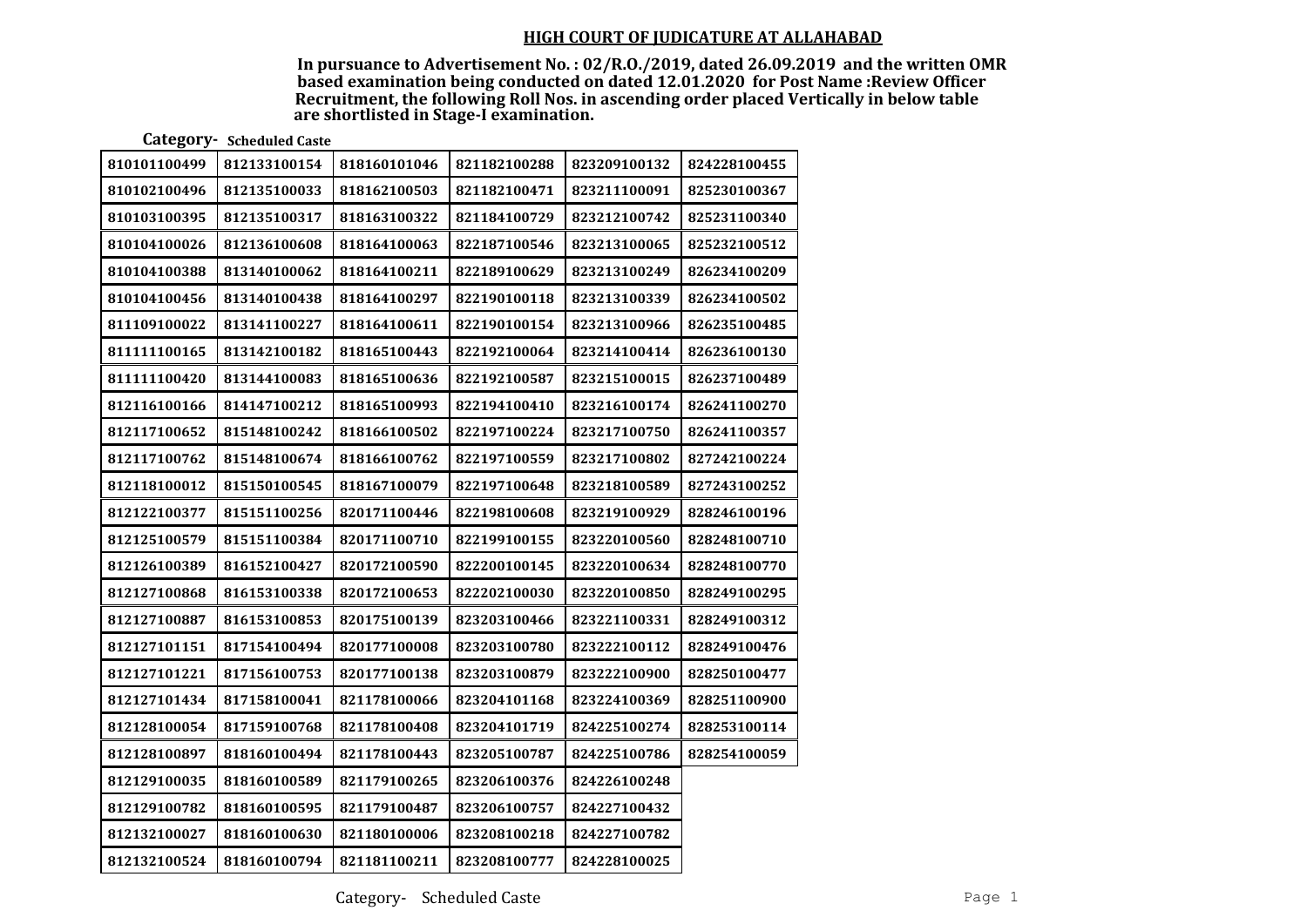In pursuance to Advertisement No. : 02/R.O./2019, dated 26.09.2019 and the written OMR based examination being conducted on dated 12.01.2020 for Post Name :Review Officer Recruitment, the following Roll Nos. in ascending order placed Vertically in below table are shortlisted in Stage-I examination.

Category- Scheduled Caste

| 810101100499 | 812133100154 | 818160101046 | 821182100288 | 823209100132 | 824228100455 |
|--------------|--------------|--------------|--------------|--------------|--------------|
| 810102100496 | 812135100033 | 818162100503 | 821182100471 | 823211100091 | 825230100367 |
| 810103100395 | 812135100317 | 818163100322 | 821184100729 | 823212100742 | 825231100340 |
| 810104100026 | 812136100608 | 818164100063 | 822187100546 | 823213100065 | 825232100512 |
| 810104100388 | 813140100062 | 818164100211 | 822189100629 | 823213100249 | 826234100209 |
| 810104100456 | 813140100438 | 818164100297 | 822190100118 | 823213100339 | 826234100502 |
| 811109100022 | 813141100227 | 818164100611 | 822190100154 | 823213100966 | 826235100485 |
| 811111100165 | 813142100182 | 818165100443 | 822192100064 | 823214100414 | 826236100130 |
| 811111100420 | 813144100083 | 818165100636 | 822192100587 | 823215100015 | 826237100489 |
| 812116100166 | 814147100212 | 818165100993 | 822194100410 | 823216100174 | 826241100270 |
| 812117100652 | 815148100242 | 818166100502 | 822197100224 | 823217100750 | 826241100357 |
| 812117100762 | 815148100674 | 818166100762 | 822197100559 | 823217100802 | 827242100224 |
| 812118100012 | 815150100545 | 818167100079 | 822197100648 | 823218100589 | 827243100252 |
| 812122100377 | 815151100256 | 820171100446 | 822198100608 | 823219100929 | 828246100196 |
| 812125100579 | 815151100384 | 820171100710 | 822199100155 | 823220100560 | 828248100710 |
| 812126100389 | 816152100427 | 820172100590 | 822200100145 | 823220100634 | 828248100770 |
| 812127100868 | 816153100338 | 820172100653 | 822202100030 | 823220100850 | 828249100295 |
| 812127100887 | 816153100853 | 820175100139 | 823203100466 | 823221100331 | 828249100312 |
| 812127101151 | 817154100494 | 820177100008 | 823203100780 | 823222100112 | 828249100476 |
| 812127101221 | 817156100753 | 820177100138 | 823203100879 | 823222100900 | 828250100477 |
| 812127101434 | 817158100041 | 821178100066 | 823204101168 | 823224100369 | 828251100900 |
| 812128100054 | 817159100768 | 821178100408 | 823204101719 | 824225100274 | 828253100114 |
| 812128100897 | 818160100494 | 821178100443 | 823205100787 | 824225100786 | 828254100059 |
| 812129100035 | 818160100589 | 821179100265 | 823206100376 | 824226100248 |              |
| 812129100782 | 818160100595 | 821179100487 | 823206100757 | 824227100432 |              |
| 812132100027 | 818160100630 | 821180100006 | 823208100218 | 824227100782 |              |
| 812132100524 | 818160100794 | 821181100211 | 823208100777 | 824228100025 |              |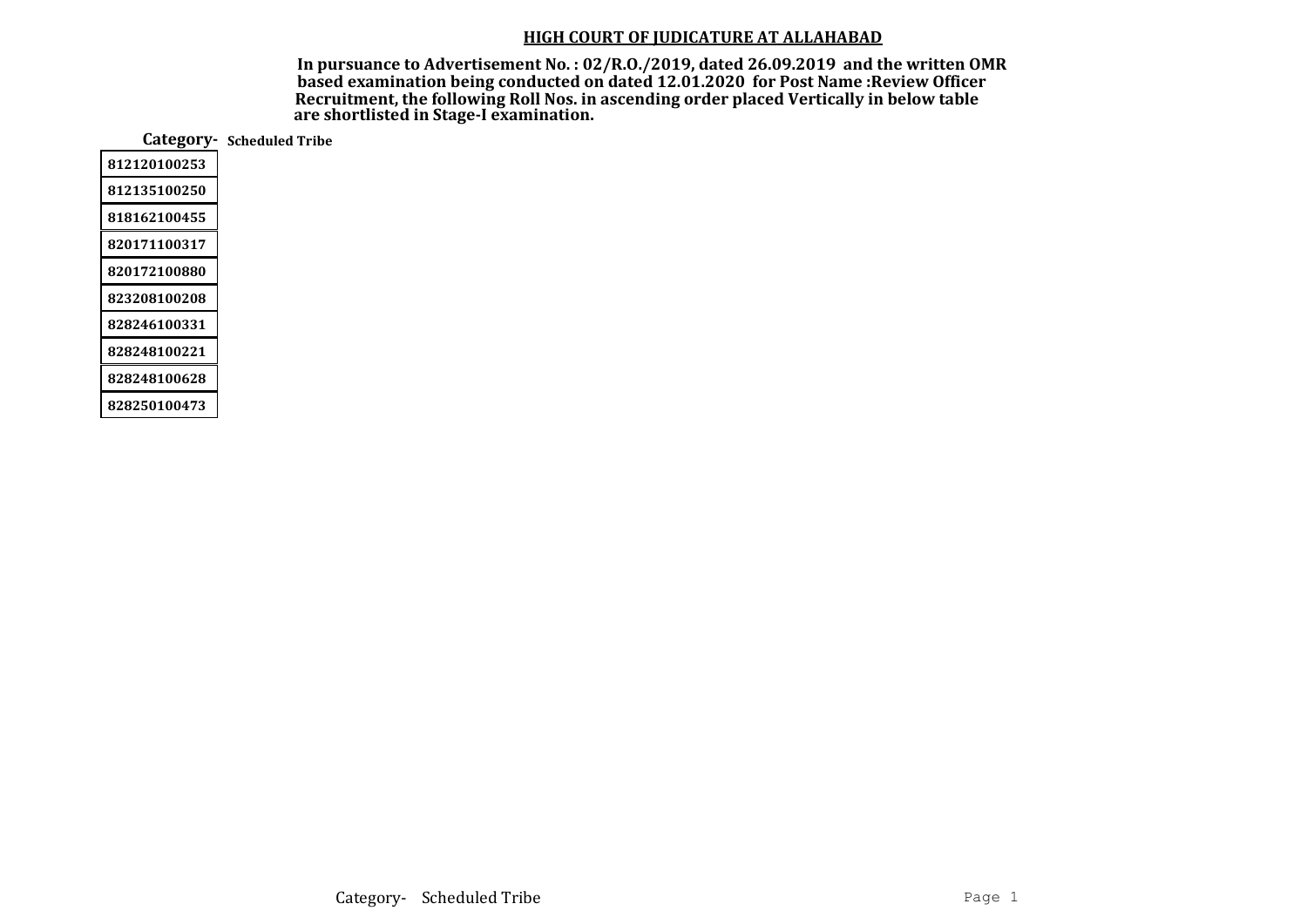In pursuance to Advertisement No. : 02/R.O./2019, dated 26.09.2019 and the written OMR based examination being conducted on dated 12.01.2020 for Post Name :Review Officer Recruitment, the following Roll Nos. in ascending order placed Vertically in below table are shortlisted in Stage-I examination.

Category- Scheduled Tribe 812120100253 812135100250 818162100455

828248100628

828250100473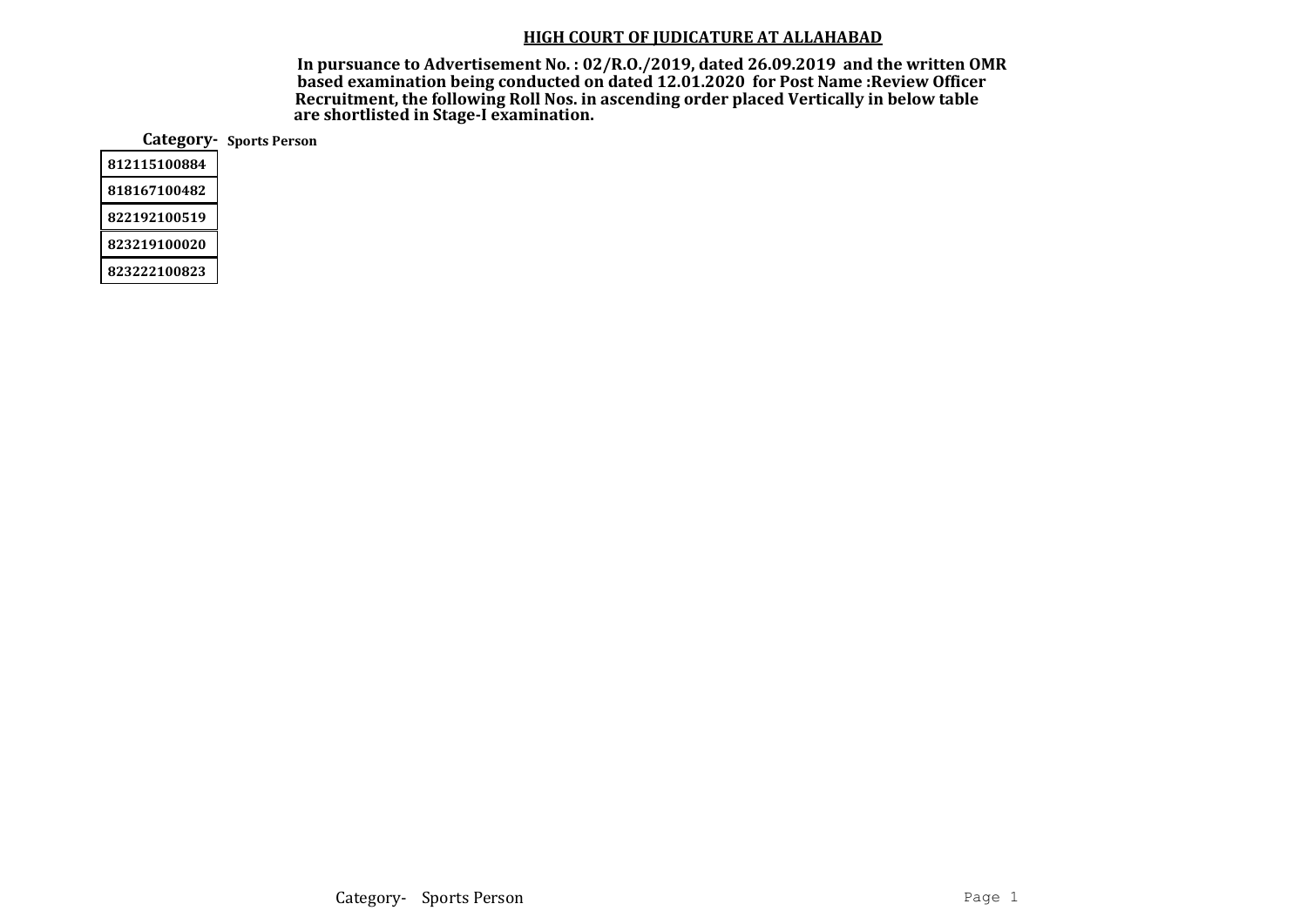In pursuance to Advertisement No. : 02/R.O./2019, dated 26.09.2019 and the written OMR based examination being conducted on dated 12.01.2020 for Post Name :Review Officer Recruitment, the following Roll Nos. in ascending order placed Vertically in below table are shortlisted in Stage-I examination.

Category- Sports Person

823222100823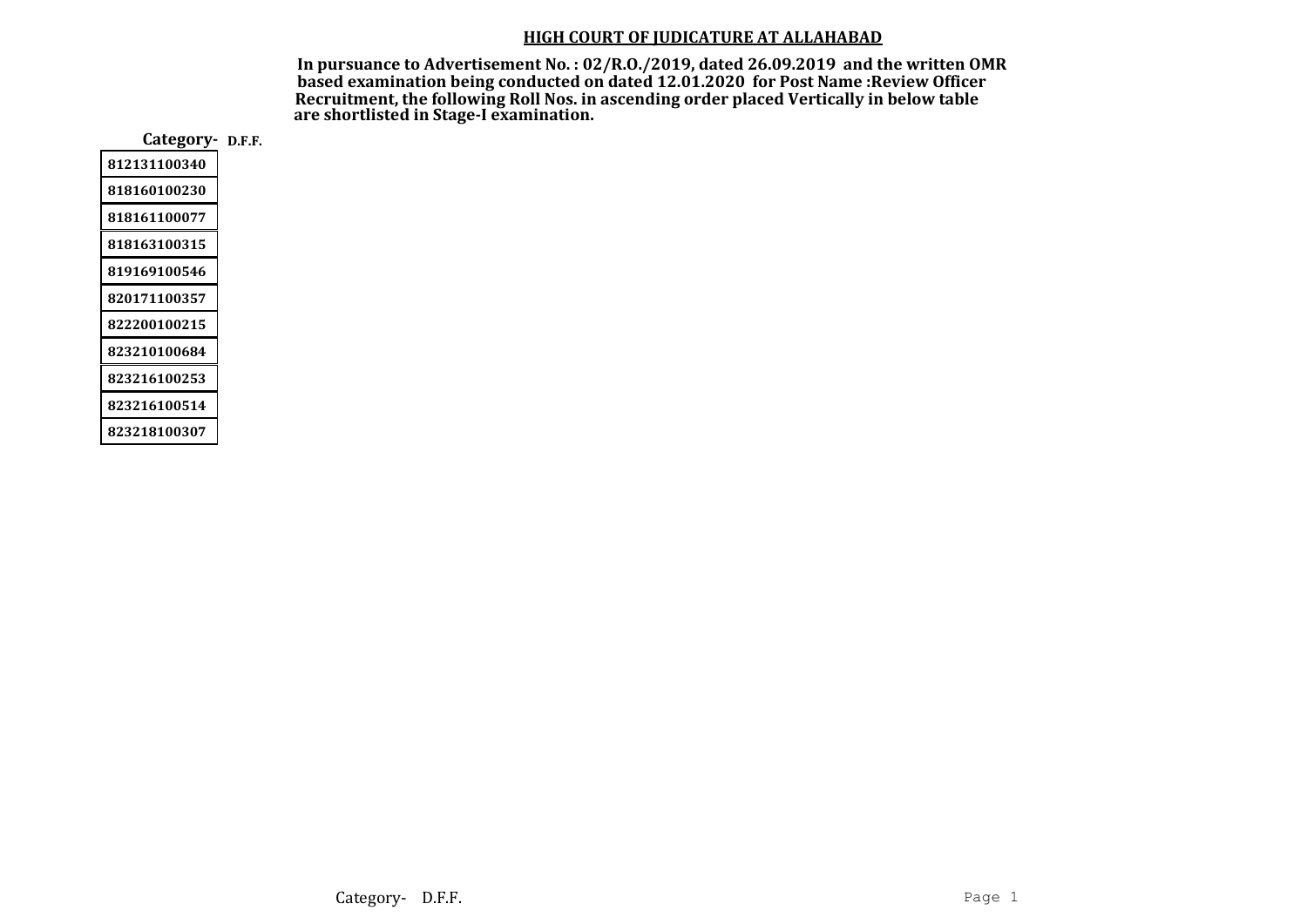In pursuance to Advertisement No. : 02/R.O./2019, dated 26.09.2019 and the written OMR based examination being conducted on dated 12.01.2020 for Post Name :Review Officer Recruitment, the following Roll Nos. in ascending order placed Vertically in below table are shortlisted in Stage-I examination.

Category- D.F.F.

| 812131100340 |
|--------------|
| 818160100230 |
| 818161100077 |
| 818163100315 |
| 819169100546 |
| 820171100357 |
| 822200100215 |
| 823210100684 |
| 823216100253 |
| 823216100514 |
| 823218100307 |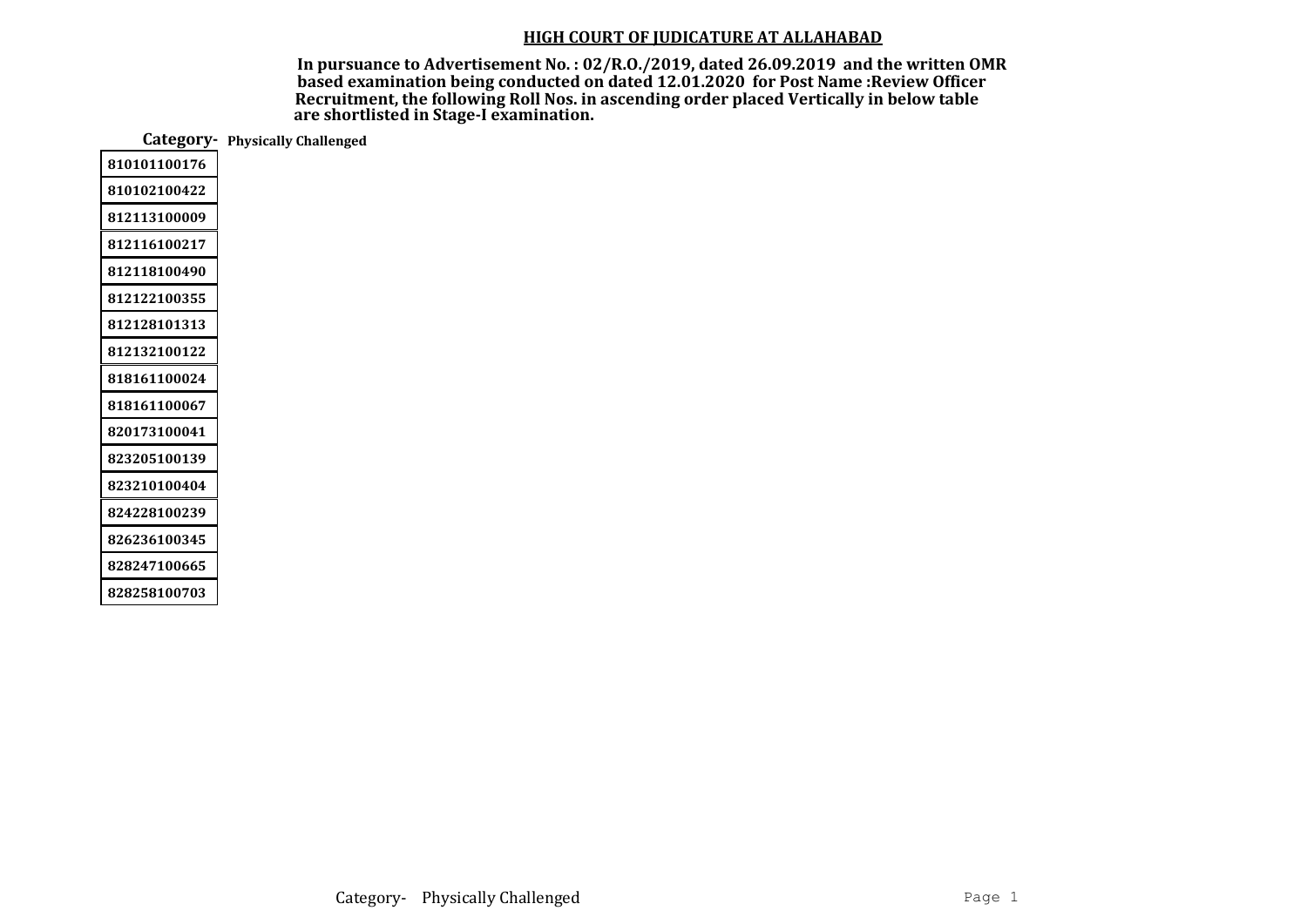In pursuance to Advertisement No. : 02/R.O./2019, dated 26.09.2019 and the written OMR based examination being conducted on dated 12.01.2020 for Post Name :Review Officer Recruitment, the following Roll Nos. in ascending order placed Vertically in below table are shortlisted in Stage-I examination.

Category- Physically Challenged

| 810101100176 |
|--------------|
| 810102100422 |
| 812113100009 |
| 812116100217 |
| 812118100490 |
| 812122100355 |
| 812128101313 |
| 812132100122 |
| 818161100024 |
| 818161100067 |
| 820173100041 |
| 823205100139 |
| 823210100404 |
| 824228100239 |
| 826236100345 |
| 828247100665 |
| 828258100703 |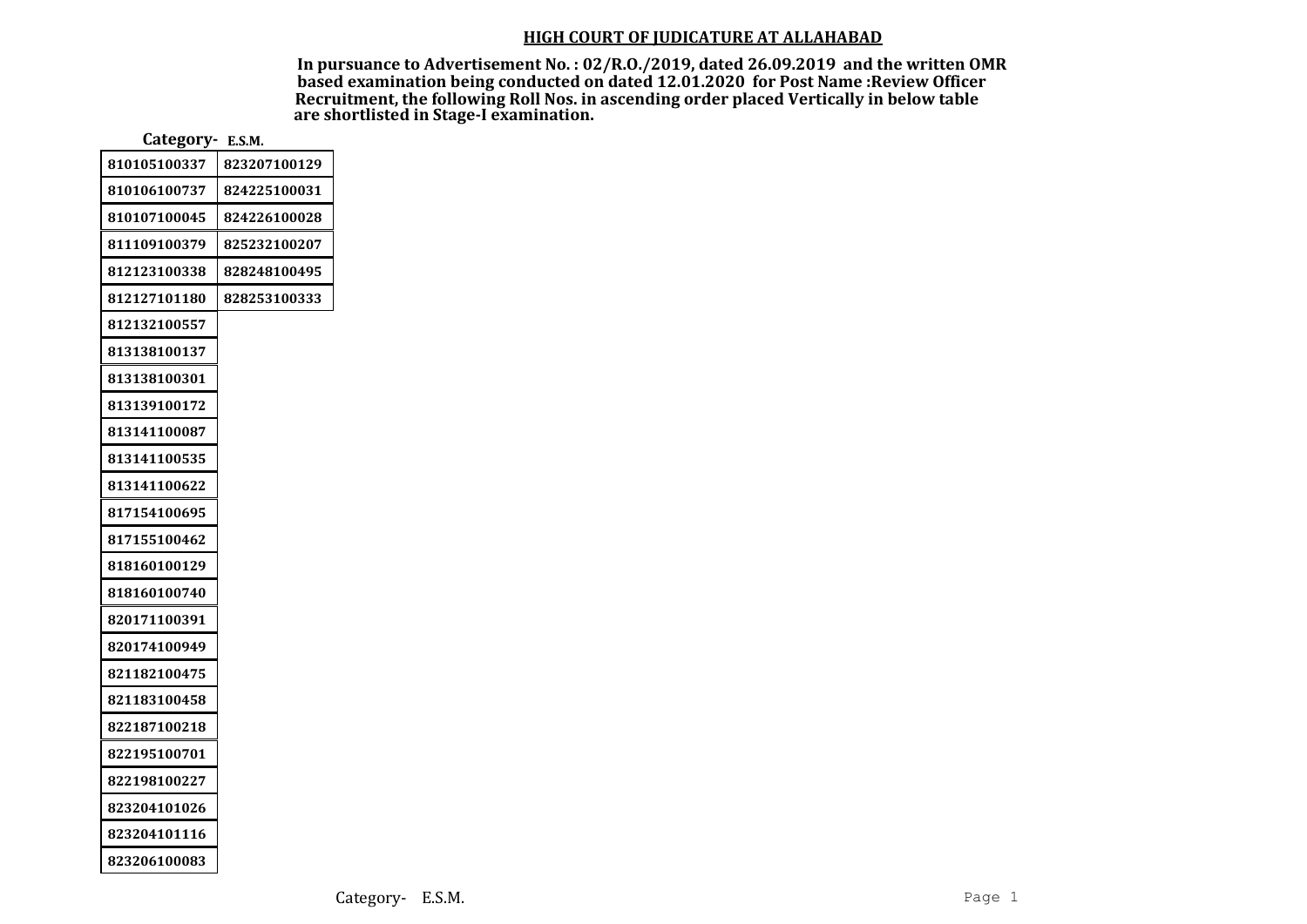In pursuance to Advertisement No. : 02/R.O./2019, dated 26.09.2019 and the written OMR based examination being conducted on dated 12.01.2020 for Post Name :Review Officer Recruitment, the following Roll Nos. in ascending order placed Vertically in below table are shortlisted in Stage-I examination.

| Category- E.S.M. |              |  |  |  |
|------------------|--------------|--|--|--|
| 810105100337     | 823207100129 |  |  |  |
| 810106100737     | 824225100031 |  |  |  |
| 810107100045     | 824226100028 |  |  |  |
| 811109100379     | 825232100207 |  |  |  |
| 812123100338     | 828248100495 |  |  |  |
| 812127101180     | 828253100333 |  |  |  |
| 812132100557     |              |  |  |  |
| 813138100137     |              |  |  |  |
| 813138100301     |              |  |  |  |
| 813139100172     |              |  |  |  |
| 813141100087     |              |  |  |  |
| 813141100535     |              |  |  |  |
| 813141100622     |              |  |  |  |
| 817154100695     |              |  |  |  |
| 817155100462     |              |  |  |  |
| 818160100129     |              |  |  |  |
| 818160100740     |              |  |  |  |
| 820171100391     |              |  |  |  |
| 820174100949     |              |  |  |  |
| 821182100475     |              |  |  |  |
| 821183100458     |              |  |  |  |
| 822187100218     |              |  |  |  |
| 822195100701     |              |  |  |  |
| 822198100227     |              |  |  |  |
| 823204101026     |              |  |  |  |
| 823204101116     |              |  |  |  |
| 823206100083     |              |  |  |  |